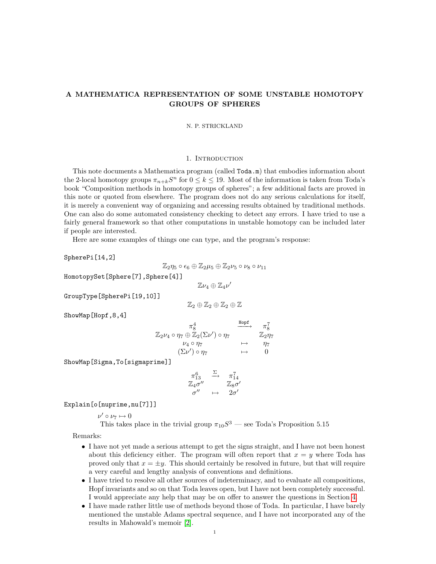# A MATHEMATICA REPRESENTATION OF SOME UNSTABLE HOMOTOPY GROUPS OF SPHERES

#### N. P. STRICKLAND

### 1. INTRODUCTION

This note documents a Mathematica program (called Toda.m) that embodies information about the 2-local homotopy groups  $\pi_{n+k}S^n$  for  $0 \leq k \leq 19$ . Most of the information is taken from Toda's book "Composition methods in homotopy groups of spheres"; a few additional facts are proved in this note or quoted from elsewhere. The program does not do any serious calculations for itself, it is merely a convenient way of organizing and accessing results obtained by traditional methods. One can also do some automated consistency checking to detect any errors. I have tried to use a fairly general framework so that other computations in unstable homotopy can be included later if people are interested.

Here are some examples of things one can type, and the program's response:

SpherePi[14,2]

$$
\mathbb{Z}_2 \eta_5 \circ \epsilon_6 \oplus \mathbb{Z}_2 \mu_5 \oplus \mathbb{Z}_2 \nu_5 \circ \nu_8 \circ \nu_{11}
$$

HomotopySet[Sphere[7],Sphere[4]]

 $\mathbb{Z}\nu_4\oplus\mathbb{Z}_4\nu'$ 

GroupType[SpherePi[19,10]]

$$
\mathbb{Z}_2\oplus\mathbb{Z}_2\oplus\mathbb{Z}_2\oplus\mathbb{Z}
$$

ShowMap[Hopf,8,4]

$$
\begin{array}{ccc}\n\pi_8^4 & \xrightarrow{\text{Hopf}} & \pi_8^7 \\
\mathbb{Z}_2\nu_4 \circ \eta_7 \oplus \mathbb{Z}_2(\Sigma \nu') \circ \eta_7 & \mapsto & \mathbb{Z}_2\nu_7 \\
\downarrow \nu_4 \circ \eta_7 & \mapsto & \eta_7 \\
(\Sigma \nu') \circ \eta_7 & \mapsto & 0\n\end{array}
$$

ShowMap[Sigma,To[sigmaprime]]

$$
\begin{array}{ccc}\n\pi_{13}^6 & \xrightarrow{\Sigma} & \pi_{14}^7 \\
\mathbb{Z}_4 \sigma'' & & \mathbb{Z}_8 \sigma' \\
\sigma'' & \mapsto & 2\sigma'\n\end{array}
$$

Explain[o[nuprime,nu[7]]]

 $\nu' \circ \nu_7 \mapsto 0$ 

This takes place in the trivial group  $\pi_{10}S^3$  — see Toda's Proposition 5.15

Remarks:

- I have not yet made a serious attempt to get the signs straight, and I have not been honest about this deficiency either. The program will often report that  $x = y$  where Toda has proved only that  $x = \pm y$ . This should certainly be resolved in future, but that will require a very careful and lengthy analysis of conventions and definitions.
- I have tried to resolve all other sources of indeterminacy, and to evaluate all compositions, Hopf invariants and so on that Toda leaves open, but I have not been completely successful. I would appreciate any help that may be on offer to answer the questions in Section [4.](#page-12-0)
- I have made rather little use of methods beyond those of Toda. In particular, I have barely mentioned the unstable Adams spectral sequence, and I have not incorporated any of the results in Mahowald's memoir [\[2\]](#page-12-1).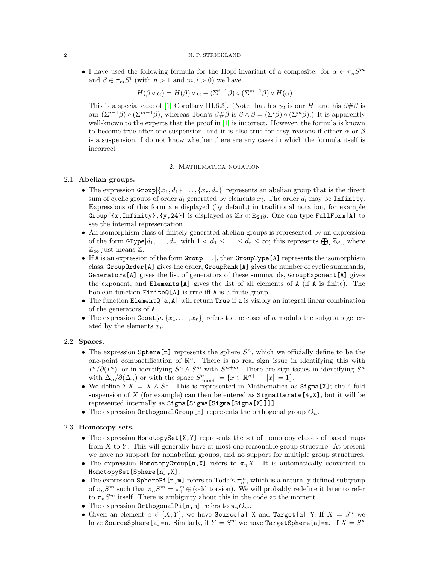• I have used the following formula for the Hopf invariant of a composite: for  $\alpha \in \pi_n S^m$ and  $\beta \in \pi_m S^i$  (with  $n > 1$  and  $m, i > 0$ ) we have

$$
H(\beta \circ \alpha) = H(\beta) \circ \alpha + (\Sigma^{i-1} \beta) \circ (\Sigma^{m-1} \beta) \circ H(\alpha)
$$

This is a special case of [\[1,](#page-12-2) Corollary III.6.3]. (Note that his  $\gamma_2$  is our H, and his  $\beta \# \beta$  is our  $(\Sigma^{i-1}\beta) \circ (\Sigma^{m-1}\beta)$ , whereas Toda's  $\beta \# \beta$  is  $\beta \wedge \beta = (\Sigma^{i}\beta) \circ (\Sigma^{m}\beta)$ .) It is apparently well-known to the experts that the proof in [\[1\]](#page-12-2) is incorrect. However, the formula is known to become true after one suspension, and it is also true for easy reasons if either  $\alpha$  or  $\beta$ is a suspension. I do not know whether there are any cases in which the formula itself is incorrect.

### 2. MATHEMATICA NOTATION

## 2.1. Abelian groups.

- The expression  $Group[\{x_1, d_1\}, \ldots, \{x_r, d_r\}]$  represents an abelian group that is the direct sum of cyclic groups of order  $d_i$  generated by elements  $x_i$ . The order  $d_i$  may be Infinity. Expressions of this form are displayed (by default) in traditional notation, for example Group[{x,Infinity},{y,24}] is displayed as  $\mathbb{Z}x \oplus \mathbb{Z}_{24}y$ . One can type FullForm[A] to see the internal representation.
- An isomorphism class of finitely generated abelian groups is represented by an expression of the form  $\texttt{GType}[d_1, \ldots, d_r]$  with  $1 < d_1 \leq \ldots \leq d_r \leq \infty$ ; this represents  $\bigoplus_i \mathbb{Z}_{d_i}$ , where  $\mathbb{Z}_{\infty}$  just means  $\mathbb{Z}$ .
- If A is an expression of the form  $Group[\ldots],$  then  $GroupType[{\bf A}]$  represents the isomorphism class, GroupOrder[A] gives the order, GroupRank[A] gives the number of cyclic summands, Generators[A] gives the list of generators of these summands, GroupExponent[A] gives the exponent, and Elements[A] gives the list of all elements of A (if A is finite). The boolean function FiniteQ[A] is true iff A is a finite group.
- The function ElementQ[a, A] will return True if a is visibly an integral linear combination of the generators of A.
- The expression  $\text{Coset}[a, \{x_1, \ldots, x_r\}]$  refers to the coset of a modulo the subgroup generated by the elements  $x_i$ .

### 2.2. Spaces.

- The expression Sphere [n] represents the sphere  $S<sup>n</sup>$ , which we officially define to be the one-point compactification of  $\mathbb{R}^n$ . There is no real sign issue in identifying this with  $I^{n}/\partial(I^{n})$ , or in identifying  $S^{n} \wedge S^{m}$  with  $S^{n+m}$ . There are sign issues in identifying  $S^{n}$ with  $\Delta_n/\partial(\Delta_n)$  or with the space  $S^n_{\text{round}} := \{x \in \mathbb{R}^{n+1} \mid ||x|| = 1\}.$
- We define  $\Sigma X = X \wedge S^1$ . This is represented in Mathematica as Sigma[X]; the 4-fold suspension of X (for example) can then be entered as  $SigmaIzmaIterate[4,X],$  but it will be represented internally as Sigma[Sigma[Sigma[Sigma[X]]]].
- The expression OrthogonalGroup[n] represents the orthogonal group  $O_n$ .

## 2.3. Homotopy sets.

- The expression HomotopySet  $[X, Y]$  represents the set of homotopy classes of based maps from  $X$  to  $Y$ . This will generally have at most one reasonable group structure. At present we have no support for nonabelian groups, and no support for multiple group structures.
- The expression HomotopyGroup[n, X] refers to  $\pi_n X$ . It is automatically converted to HomotopySet[Sphere[n],X].
- The expression SpherePi  $[n,m]$  refers to Toda's  $\pi_n^m$ , which is a naturally defined subgroup of  $\pi_n S^m$  such that  $\pi_n S^m = \pi_n^m \oplus$  (odd torsion). We will probably redefine it later to refer to  $\pi_nS^m$  itself. There is ambiguity about this in the code at the moment.
- The expression OrthogonalPi $[n,m]$  refers to  $\pi_n O_m$ .
- Given an element  $a \in [X, Y]$ , we have Source[a]=X and Target[a]=Y. If  $X = S^n$  we have SourceSphere[a]=n. Similarly, if  $Y = S^m$  we have TargetSphere[a]=m. If  $X = S^n$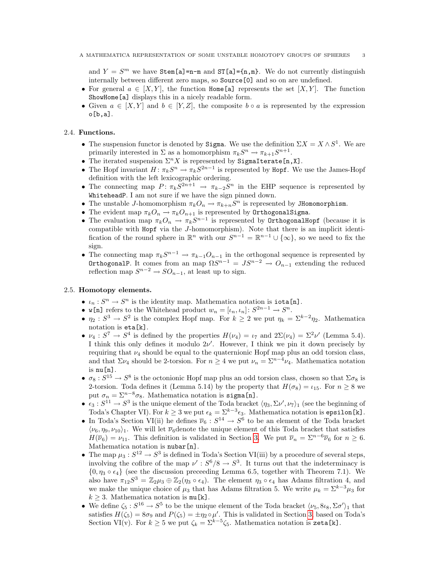and  $Y = S^m$  we have Stem[a]=n-m and ST[a]={n,m}. We do not currently distinguish internally between different zero maps, so Source[0] and so on are undefined.

- For general  $a \in [X, Y]$ , the function Home [a] represents the set  $[X, Y]$ . The function ShowHome[a] displays this in a nicely readable form.
- Given  $a \in [X, Y]$  and  $b \in [Y, Z]$ , the composite  $b \circ a$  is represented by the expression o[b,a].

## 2.4. Functions.

- The suspension functor is denoted by Sigma. We use the definition  $\Sigma X = X \wedge S^1$ . We are primarily interested in  $\Sigma$  as a homomorphism  $\pi_k S^n \to \pi_{k+1} S^{n+1}$ .
- The iterated suspension  $\Sigma^n X$  is represented by SigmaIterate[n,X].
- The Hopf invariant  $H: \pi_k S^n \to \pi_k S^{2n-1}$  is represented by Hopf. We use the James-Hopf definition with the left lexicographic ordering.
- The connecting map  $P: \pi_k S^{2n+1} \to \pi_{k-2} S^n$  in the EHP sequence is represented by WhiteheadP. I am not sure if we have the sign pinned down.
- The unstable J-homomorphism  $\pi_k O_n \to \pi_{k+n} S^n$  is represented by JHomomorphism.
- The evident map  $\pi_k O_n \to \pi_k O_{n+1}$  is represented by **OrthogonalSigma**.
- The evaluation map  $\pi_k O_n \to \pi_k S^{n-1}$  is represented by OrthogonalHopf (because it is compatible with Hopf via the J-homomorphism). Note that there is an implicit identification of the round sphere in  $\mathbb{R}^n$  with our  $S^{n-1} = \mathbb{R}^{n-1} \cup \{\infty\}$ , so we need to fix the sign.
- The connecting map  $\pi_k S^{n-1} \to \pi_{k-1} O_{n-1}$  in the orthogonal sequence is represented by OrthogonalP. It comes from an map  $\Omega S^{n-1} = JS^{n-2} \rightarrow O_{n-1}$  extending the reduced reflection map  $S^{n-2} \to SO_{n-1}$ , at least up to sign.

## 2.5. Homotopy elements.

- $\iota_n : S^n \to S^n$  is the identity map. Mathematica notation is **iota** [n].
- **w**[n] refers to the Whitehead product  $w_n = [\iota_n, \iota_n] : S^{2n-1} \to S^n$ .
- $\eta_2: S^3 \to S^2$  is the complex Hopf map. For  $k \geq 2$  we put  $\eta_k = \sum_{k=0}^{k-2} \eta_2$ . Mathematica notation is eta[k].
- $\nu_4: S^7 \to S^4$  is defined by the properties  $H(\nu_4) = \nu_7$  and  $2\Sigma(\nu_4) = \Sigma^2 \nu'$  (Lemma 5.4). I think this only defines it modulo  $2\nu'$ . However, I think we pin it down precisely by requiring that  $\nu_4$  should be equal to the quaternionic Hopf map plus an odd torsion class, and that  $\Sigma \nu_4$  should be 2-torsion. For  $n \geq 4$  we put  $\nu_n = \Sigma^{n-4} \nu_4$ . Mathematica notation  $is \nu[n].$
- $\sigma_8: S^{15} \to S^8$  is the octonionic Hopf map plus an odd torsion class, chosen so that  $\Sigma \sigma_8$  is 2-torsion. Toda defines it (Lemma 5.14) by the property that  $H(\sigma_8) = \iota_{15}$ . For  $n \geq 8$  we put  $\sigma_n = \sum^{n-8} \sigma_8$ . Mathematica notation is sigma[n].
- $\epsilon_3: S^{11} \to S^3$  is the unique element of the Toda bracket  $\langle \eta_3, \Sigma \nu', \nu_7 \rangle_1$  (see the beginning of Toda's Chapter VI). For  $k \geq 3$  we put  $\epsilon_k = \sum^{k-3} \epsilon_3$ . Mathematica notation is epsilon[k].
- In Toda's Section VI(ii) he defines  $\overline{\nu}_6 : S^{14} \to S^6$  to be an element of the Toda bracket  $\langle \nu_6, \eta_9, \nu_{10} \rangle_1$ . We will let  $\overline{\nu}_6$ denote the unique element of this Toda bracket that satisfies  $H(\overline{\nu}_6) = \nu_{11}$ . This definition is validated in Section [3.](#page-5-0) We put  $\overline{\nu}_n = \Sigma^{n-6} \overline{\nu}_6$  for  $n \geq 6$ . Mathematica notation is nubar [n].
- The map  $\mu_3: S^{12} \to S^3$  is defined in Toda's Section VI(iii) by a procedure of several steps, involving the cofibre of the map  $\nu' : S^6/8 \to S^3$ . It turns out that the indeterminacy is  $\{0, \eta_3 \circ \epsilon_4\}$  (see the discussion preceeding Lemma 6.5, together with Theorem 7.1). We also have  $\pi_{12}S^3 = \mathbb{Z}_2\mu_3 \oplus \mathbb{Z}_2(\eta_3 \circ \epsilon_4)$ . The element  $\eta_3 \circ \epsilon_4$  has Adams filtration 4, and we make the unique choice of  $\mu_3$  that has Adams filtration 5. We write  $\mu_k = \sum^{k-3} \mu_3$  for  $k \geq 3$ . Mathematica notation is  $m[k]$ .
- We define  $\zeta_5: S^{16} \to S^5$  to be the unique element of the Toda bracket  $\langle \nu_5, 8\iota_8, \Sigma \sigma' \rangle_1$  that satisfies  $H(\zeta_5) = 8\sigma_9$  and  $P(\zeta_5) = \pm \eta_2 \circ \mu'$ . This is validated in Section [3,](#page-5-0) based on Toda's Section VI(v). For  $k \geq 5$  we put  $\zeta_k = \sum_{k=5}^{k-5} \zeta_5$ . Mathematica notation is zeta[k].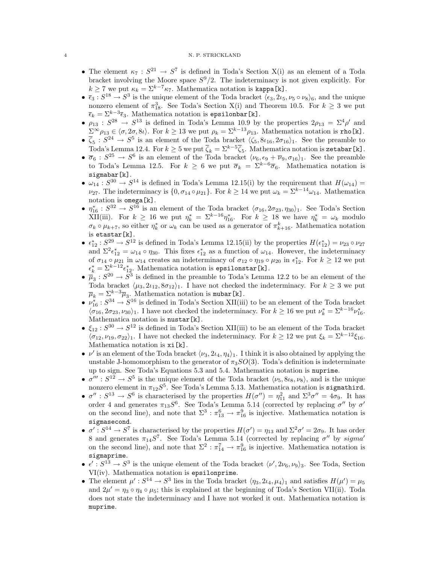- The element  $\kappa_7: S^{21} \to S^7$  is defined in Toda's Section X(i) as an element of a Toda bracket involving the Moore space  $S^9/2$ . The indeterminacy is not given explicitly. For  $k \ge 7$  we put  $\kappa_k = \sum_{k=7}^{k=7} \kappa_{7}$ . Mathematica notation is kappa[k].
- $\bar{\epsilon}_3$ :  $S^{18} \to S^3$  is the unique element of the Toda bracket  $\langle \epsilon_3, 2\iota_5, \nu_5 \circ \nu_8 \rangle_6$ , and the unique nonzero element of  $\pi_{18}^3$ . See Toda's Section X(i) and Theorem 10.5. For  $k \geq 3$  we put  $\overline{\epsilon}_k = \Sigma^{k-3} \overline{\epsilon}_3$ . Mathematica notation is epsilonbar[k].
- $\rho_{13}$ :  $S^{28} \rightarrow S^{13}$  is defined in Toda's Lemma 10.9 by the properties  $2\rho_{13} = \Sigma^4 \rho'$  and  $\Sigma^{\infty} \rho_{13} \in \langle \sigma, 2\sigma, 8\iota \rangle$ . For  $k \geq 13$  we put  $\rho_k = \Sigma^{k-13} \rho_{13}$ . Mathematica notation is rho[k].
- $\overline{\zeta}_5$ :  $S^{24} \rightarrow S^5$  is an element of the Toda bracket  $\langle \zeta_5, 8i_{16}, 2\sigma_{16} \rangle_1$ . See the preamble to Toda's Lemma 12.4. For  $k \geq 5$  we put  $\overline{\zeta}_k = \Sigma^{k-5} \overline{\zeta}_5$ . Mathematica notation is zetabar [k].
- $\overline{\sigma}_6$ :  $S^{25} \rightarrow S^6$  is an element of the Toda bracket  $\langle \nu_6, \epsilon_9 + \overline{\nu}_9, \sigma_{16} \rangle_1$ . See the preamble to Toda's Lemma 12.5. For  $k \geq 6$  we put  $\overline{\sigma}_k = \Sigma^{k-6} \overline{\sigma}_6$ . Mathematica notation is sigmabar[k].
- $\omega_{14}: S^{30} \to S^{14}$  is defined in Toda's Lemma 12.15(i) by the requirement that  $H(\omega_{14}) =$  $\nu_{27}$ . The indeterminacy is  $\{0, \sigma_{14} \circ \mu_{21}\}$ . For  $k \geq 14$  we put  $\omega_k = \sum_{k=1}^{k-14} \omega_{14}$ . Mathematica notation is omega[k].
- $\eta_{16}^* : S^{32} \to S^{16}$  is an element of the Toda bracket  $\langle \sigma_{16}, 2\sigma_{23}, \eta_{30} \rangle_1$ . See Toda's Section XII(iii). For  $k \geq 16$  we put  $\eta_k^* = \sum_{k=16}^{k-16} \eta_{16}^*$ . For  $k \geq 18$  we have  $\eta_k^* = \omega_k$  modulo  $\sigma_k \circ \mu_{k+7}$ , so either  $\eta_k^*$  or  $\omega_k$  can be used as a generator of  $\pi_{k+16}^k$ . Mathematica notation is etastar[k].
- $\epsilon_{12}^*: S^{29} \to S^{12}$  is defined in Toda's Lemma 12.15(ii) by the properties  $H(\epsilon_{12}^*) = \nu_{23} \circ \nu_{27}$ and  $\Sigma^2 \epsilon_{12}^* = \omega_{14} \circ \eta_{30}$ . This fixes  $\epsilon_{12}^*$  as a function of  $\omega_{14}$ . However, the indeterminacy of  $\sigma_{14} \circ \mu_{21}$  in  $\omega_{14}$  creates an indeterminacy of  $\sigma_{12} \circ \eta_{19} \circ \mu_{20}$  in  $\epsilon_{12}^*$ . For  $k \ge 12$  we put  $\epsilon_k^* = \sum_{i=1}^{k-12} \epsilon_{12}^*$ . Mathematica notation is epsilonstar[k].
- $\overline{\mu}_3$ :  $S^{20} \rightarrow S^3$  is defined in the preamble to Toda's Lemma 12.2 to be an element of the Toda bracket  $\langle \mu_3, 2i_{12}, 8\sigma_{12}\rangle_1$ . I have not checked the indeterminacy. For  $k \geq 3$  we put  $\overline{\mu}_k = \sum_{k=3}^{k=3} \overline{\mu}_3$ . Mathematica notation is mubar[k].
- $\nu_{16}^* : S^{34} \to S^{16}$  is defined in Toda's Section XII(iii) to be an element of the Toda bracket  $\langle \sigma_{16}, 2\sigma_{23}, \nu_{30}\rangle_1$ . I have not checked the indeterminacy. For  $k \ge 16$  we put  $\nu_k^* = \sum_{k=16}^{k-16} \nu_{16}^*$ . Mathematica notation is nustar[k].
- $\xi_{12}: S^{30} \to S^{12}$  is defined in Toda's Section XII(iii) to be an element of the Toda bracket  $\langle \sigma_{12}, \nu_{19}, \sigma_{22}\rangle_1$ . I have not checked the indeterminacy. For  $k \geq 12$  we put  $\xi_k = \sum_{k=1}^{k-12} \xi_{16}$ . Mathematica notation is xi[k].
- $\nu'$  is an element of the Toda bracket  $\langle \nu_3, 2i_4, \eta_4 \rangle_1$ . I think it is also obtained by applying the unstable J-homomorphism to the generator of  $\pi_3SO(3)$ . Toda's definition is indeterminate up to sign. See Toda's Equations 5.3 and 5.4. Mathematica notation is nuprime.
- $\bullet \ \sigma''' : S^{12} \to S^5$  is the unique element of the Toda bracket  $\langle \nu_5, 8i_8, \nu_8 \rangle$ , and is the unique nonzero element in  $\pi_{12}S^5$ . See Toda's Lemma 5.13. Mathematica notation is sigmathird.
- $\sigma''$ :  $S^{13} \to S^6$  is characterised by the properties  $H(\sigma'') = \eta_{11}^2$  and  $\Sigma^3 \sigma'' = 4\sigma_9$ . It has order 4 and generates  $\pi_{13}S^6$ . See Toda's Lemma 5.14 (corrected by replacing  $\sigma''$  by  $\sigma'$ on the second line), and note that  $\Sigma^3$ :  $\pi_{13}^6 \rightarrow \pi_{16}^9$  is injective. Mathematica notation is sigmasecond.
- $\sigma' : S^{14} \to S^7$  is characterised by the properties  $H(\sigma') = \eta_{13}$  and  $\Sigma^2 \sigma' = 2\sigma_9$ . It has order 8 and generates  $\pi_{14}S^7$ . See Toda's Lemma 5.14 (corrected by replacing  $\sigma''$  by sigma' on the second line), and note that  $\Sigma^2$ :  $\pi_{14}^7 \rightarrow \pi_{16}^9$  is injective. Mathematica notation is sigmaprime.
- $\epsilon' : S^{13} \to S^3$  is the unique element of the Toda bracket  $\langle \nu', 2\nu_6, \nu_9 \rangle_3$ . See Toda, Section VI(iv). Mathematica notation is epsilonprime.
- The element  $\mu': S^{14} \to S^3$  lies in the Toda bracket  $\langle \eta_3, 2\iota_4, \mu_4 \rangle_1$  and satisfies  $H(\mu') = \mu_5$ and  $2\mu' = \eta_3 \circ \eta_4 \circ \mu_5$ ; this is explained at the beginning of Toda's Section VII(ii). Toda does not state the indeterminacy and I have not worked it out. Mathematica notation is muprime.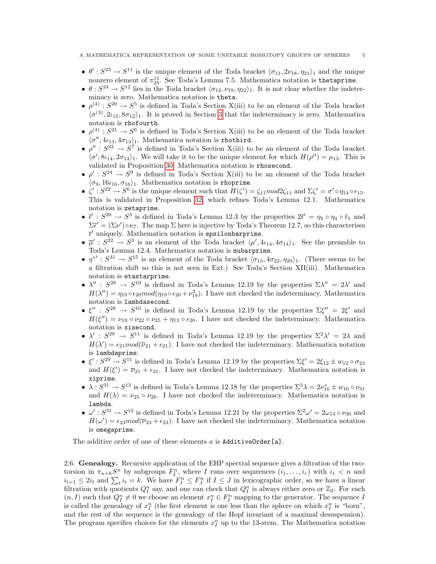- $\theta' : S^{23} \to S^{11}$  is the unique element of the Toda bracket  $\langle \sigma_{11}, 2\nu_{18}, \eta_{21} \rangle_1$  and the unique nonzero element of  $\pi_{23}^{11}$ . See Toda's Lemma 7.5. Mathematica notation is thetaprime.
- $\theta: S^{24} \to S^{12}$  lies in the Toda bracket  $\langle \sigma_{12}, \nu_{19}, \eta_{22} \rangle$ . It is not clear whether the indeterminacy is zero. Mathematica notation is theta.
- $\rho^{(4)}$ :  $S^{20} \rightarrow S^5$  is defined in Toda's Section X(iii) to be an element of the Toda bracket  $\langle \sigma^{(3)}, 2i_{12}, 8\sigma_{12}\rangle_1$ . It is proved in Section [3](#page-5-0) that the indeterminacy is zero. Mathematica notation is rhofourth.
- $\rho^{(3)}$ :  $S^{21} \rightarrow S^6$  is defined in Toda's Section X(iii) to be an element of the Toda bracket  $\langle \sigma'', 4\iota_{13}, 4\sigma_{13} \rangle_1$ . Mathematica notation is rhothird.
- $\rho'': S^{22} \to S^7$  is defined in Toda's Section X(iii) to be an element of the Toda bracket  $\langle \sigma', 8i_{14}, 2\sigma_{14} \rangle_1$ . We will take it to be the unique element for which  $H(\rho'') = \mu_{13}$ . This is validated in Proposition [30.](#page-10-0) Mathematica notation is rhosecond.
- $\rho' : S^{24} \to S^9$  is defined in Toda's Section X(iii) to be an element of the Toda bracket  $\langle \sigma_9, 16\iota_{16}, \sigma_{16}\rangle_1$ . Mathematica notation is rhoprime.
- $\zeta' : S^{22} \to S^6$  is the unique element such that  $H(\zeta') = \zeta_{11} mod 2 \zeta_{11}$  and  $\Sigma \zeta' = \sigma' \circ \eta_{14} \circ \epsilon_{15}$ . This is validated in Proposition [32,](#page-11-0) which refines Toda's Lemma 12.1. Mathematica notation is zetaprime.
- $\bar{\epsilon}'$ :  $S^{20} \to S^3$  is defined in Toda's Lemma 12.3 by the properties  $2\bar{\epsilon}' = \eta_3 \circ \eta_4 \circ \bar{\epsilon}_5$  and  $\Sigma \bar{\epsilon}' = (\Sigma \nu') \circ \kappa_7$ . The map  $\Sigma$  here is injective by Toda's Theorem 12.7, so this characterises  $\bar{\epsilon}'$  uniquely. Mathematica notation is epsilonbarprime.
- $\overline{\mu}'$ :  $S^{22} \rightarrow S^3$  is an element of the Toda bracket  $\langle \mu', 4\iota_{14}, 4\sigma_{14} \rangle_1$ . See the preamble to Toda's Lemma 12.4. Mathematica notation is mubarprime.
- $\eta^{*'} : S^{31} \to S^{15}$  is an element of the Toda bracket  $\sigma_{15}, 4\sigma_{22}, \eta_{29}$ )<sub>1</sub>. (There seems to be a filtration shift so this is not seen in Ext.) See Toda's Section XII(iii). Mathematica notation is etastarprime.
- $\lambda''$ :  $S^{28} \rightarrow S^{10}$  is defined in Toda's Lemma 12.19 by the properties  $\Sigma \lambda'' = 2\lambda'$  and  $H(\lambda'') = \eta_{19} \circ \epsilon_{20} mod(\eta_{19} \circ \epsilon_{20} + \nu_{19}^3)$ . I have not checked the indeterminacy. Mathematica notation is lambdasecond.
- $\bullet$   $\xi''$ :  $S^{28} \rightarrow S^{10}$  is defined in Toda's Lemma 12.19 by the properties  $\Sigma \xi'' = 2\xi'$  and  $H(\xi'') = \nu_{19} \circ \nu_{22} \circ \nu_{25} + \eta_{13} \circ \epsilon_{20}$ . I have not checked the indeterminacy. Mathematica notation is xisecond.
- $\lambda'$ :  $S^{29} \rightarrow S^{11}$  is defined in Toda's Lemma 12.19 by the properties  $\Sigma^2 \lambda' = 2\lambda$  and  $H(\lambda') = \epsilon_{21} mod(\overline{\nu}_{21} + \epsilon_{21}).$  I have not checked the indeterminacy. Mathematica notation is lambdaprime.
- $\xi': S^{29} \to S^{11}$  is defined in Toda's Lemma 12.19 by the properties  $\Sigma \xi' = 2\xi_{12} \pm w_{12} \circ \sigma_{23}$ and  $H(\xi') = \overline{\nu}_{21} + \epsilon_{21}$ . I have not checked the indeterminacy. Mathematica notation is xiprime.
- $\lambda: S^{31} \to S^{13}$  is defined in Toda's Lemma 12.18 by the properties  $\Sigma^3 \lambda = 2\nu_{16}^* \pm w_{16} \circ \nu_{31}$ and  $H(\lambda) = \nu_{25} \circ \nu_{28}$ . I have not checked the indeterminacy. Mathematica notation is lambda.
- $\omega': S^{31} \to S^{12}$  is defined in Toda's Lemma 12.21 by the properties  $\Sigma^2 \omega' = 2\omega_{14} \circ \nu_{30}$  and  $H(\omega') = \epsilon_{23} mod(\overline{\nu}_{23} + \epsilon_{23}).$  I have not checked the indeterminacy. Mathematica notation is omegaprime.

The additive order of one of these elements  $a$  is AdditiveOrder[a].

2.6. Genealogy. Recursive application of the EHP spectral sequence gives a filtration of the twotorsion in  $\pi_{n+k}S^n$  by subgroups  $F_I^n$ , where I runs over sequrences  $(i_1,\ldots,i_r)$  with  $i_1 < n$  and  $i_{t+1} \leq 2i_t$  and  $\sum_t i_t = k$ . We have  $F_I^n \leq F_J^n$  if  $I \leq J$  in lexicographic order, so we have a linear filtration with quotients  $Q_I^n$  say, and one can check that  $Q_I^n$  is always either zero or  $\mathbb{Z}_2$ . For each  $(n, I)$  such that  $Q_I^n \neq 0$  we choose an element  $x_I^n \in F_I^n$  mapping to the generator. The sequence I is called the genealogy of  $x_I^n$  (the first element is one less than the sphere on which  $x_I^n$  is "born", and the rest of the sequence is the genealogy of the Hopf invariant of a maximal desuspension). The program specifies choices for the elements  $x_I^n$  up to the 13-stem. The Mathematica notation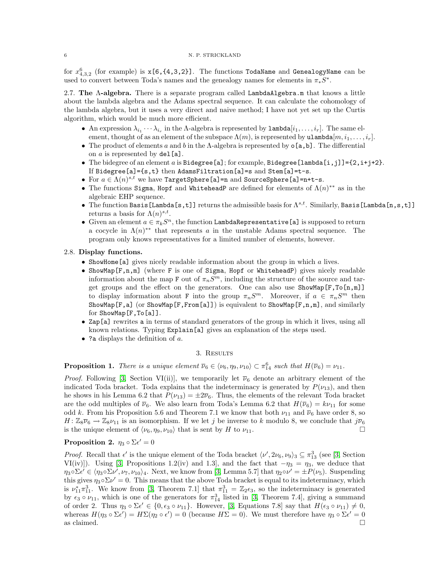for  $x_{4,3,2}^6$  (for example) is  $\mathtt{x[6,\{4,3,2\}]}$ . The functions TodaName and GenealogyName can be used to convert between Toda's names and the genealogy names for elements in  $\pi_* S^*$ .

2.7. The  $\Lambda$ -algebra. There is a separate program called LambdaAlgebra.m that knows a little about the lambda algebra and the Adams spectral sequence. It can calculate the cohomology of the lambda algebra, but it uses a very direct and naive method; I have not yet set up the Curtis algorithm, which would be much more efficient.

- An expression  $\lambda_{i_1} \cdots \lambda_{i_r}$  in the  $\Lambda$ -algebra is represented by  $\texttt{lambda}[i_1, \ldots, i_r]$ . The same element, thought of as an element of the subspace  $\Lambda(m)$ , is represented by ulambda $[m, i_1, \ldots, i_r]$ .
- The product of elements a and b in the  $\Lambda$ -algebra is represented by  $\circ$  [a, b]. The differential on  $a$  is represented by  $del[a]$ .
- The bidegree of an element a is Bidegree [a]; for example, Bidegree [lambda [i, j]] = {2, i+j+2}. If Bidegree[a]={s,t} then AdamsFiltration[a]=s and Stem[a]=t-s.
- For  $a \in \Lambda(n)^{s,t}$  we have TargetSphere[a]=n and SourceSphere[a]=n+t-s.
- The functions Sigma, Hopf and WhiteheadP are defined for elements of  $\Lambda(n)^{**}$  as in the algebraic EHP sequence.
- The function Basis [Lambda [s,t]] returns the admissible basis for  $\Lambda^{s,t}$ . Similarly, Basis [Lambda [n,s,t]] returns a basis for  $\Lambda(n)^{s,t}$ .
- Given an element  $a \in \pi_k S^n$ , the function LambdaRepresentative [a] is supposed to return a cocycle in  $\Lambda(n)^{**}$  that represents a in the unstable Adams spectral sequence. The program only knows representatives for a limited number of elements, however.

### 2.8. Display functions.

- ShowHome[a] gives nicely readable information about the group in which a lives.
- ShowMap[F,n,m] (where F is one of Sigma, Hopf or WhiteheadP) gives nicely readable information about the map F out of  $\pi_n S^m$ , including the structure of the source and target groups and the effect on the generators. One can also use  $\text{ShowMap}[\mathbb{F}, \text{To}[n,m]]$ to display information about F into the group  $\pi_n S^m$ . Moreover, if  $a \in \pi_n S^m$  then ShowMap  $[F, a]$  (or ShowMap  $[F, From[a]]$ ) is equivalent to ShowMap  $[F, n, m]$ , and similarly for ShowMap[F,To[a]].
- Zap[a] rewrites a in terms of standard generators of the group in which it lives, using all known relations. Typing Explain[a] gives an explanation of the steps used.
- ? a displays the definition of  $a$ .

## 3. Results

<span id="page-5-0"></span>**Proposition 1.** There is a unique element  $\overline{\nu}_6 \in \langle \nu_6, \eta_9, \nu_{10} \rangle \subset \pi_{14}^6$  such that  $H(\overline{\nu}_6) = \nu_{11}$ .

*Proof.* Following [\[3,](#page-12-3) Section VI(ii)], we temporarily let  $\overline{\nu}_6$  denote an arbitrary element of the indicated Toda bracket. Toda explains that the indeterminacy is generated by  $P(\nu_{13})$ , and then he shows in his Lemma 6.2 that  $P(\nu_{13}) = \pm 2\overline{\nu}_6$ . Thus, the elements of the relevant Toda bracket are the odd multiples of  $\overline{\nu}_6$ . We also learn from Toda's Lemma 6.2 that  $H(\overline{\nu}_6) = k\nu_{11}$  for some odd k. From his Proposition 5.6 and Theorem 7.1 we know that both  $\nu_{11}$  and  $\overline{\nu}_6$  have order 8, so  $H: \mathbb{Z}_8\overline{\nu}_6 \to \mathbb{Z}_8\nu_{11}$  is an isomorphism. If we let j be inverse to k modulo 8, we conclude that  $j\overline{\nu}_6$ is the unique element of  $\langle \nu_6, \eta_9, \nu_{10} \rangle$  that is sent by H to  $\nu_{11}$ .

# <span id="page-5-1"></span>Proposition 2.  $\eta_3 \circ \Sigma \epsilon' = 0$

<span id="page-5-2"></span>*Proof.* Recall that  $\epsilon'$  is the unique element of the Toda bracket  $\langle \nu', 2\nu_6, \nu_9 \rangle_3 \subseteq \pi_{13}^3$  (see [\[3,](#page-12-3) Section VI(iv)]). Using [\[3,](#page-12-3) Propositions 1.2(iv) and 1.3], and the fact that  $-\eta_3 = \eta_3$ , we deduce that  $\eta_3 \circ \Sigma \epsilon' \in \langle \eta_3 \circ \Sigma \nu', \nu_7, \nu_{10} \rangle_4$ . Next, we know from [\[3,](#page-12-3) Lemma 5.7] that  $\eta_2 \circ \nu' = \pm P(\nu_5)$ . Suspending this gives  $\eta_3 \circ \Sigma \nu' = 0$ . This means that the above Toda bracket is equal to its indeterminacy, which is  $\nu_{11}^* \pi_{11}^3$ . We know from [\[3,](#page-12-3) Theorem 7.1] that  $\pi_{11}^3 = \mathbb{Z}_2 \epsilon_3$ , so the indeterminacy is generated by  $\epsilon_3 \circ \nu_{11}$ , which is one of the generators for  $\pi_{14}^3$  listed in [\[3,](#page-12-3) Theorem 7.4], giving a summand of order 2. Thus  $\eta_3 \circ \Sigma \epsilon' \in \{0, \epsilon_3 \circ \nu_{11}\}.$  However, [\[3,](#page-12-3) Equations 7.8] say that  $H(\epsilon_3 \circ \nu_{11}) \neq 0$ , whereas  $H(\eta_3 \circ \Sigma \epsilon') = H \Sigma(\eta_2 \circ \epsilon') = 0$  (because  $H\Sigma = 0$ ). We must therefore have  $\eta_3 \circ \Sigma \epsilon' = 0$ as claimed.  $\square$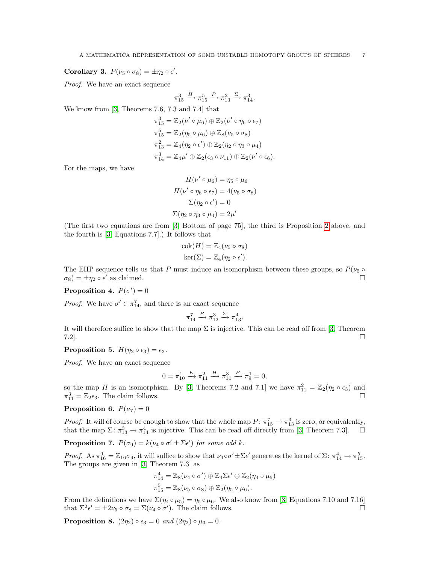Corollary 3.  $P(\nu_5 \circ \sigma_8) = \pm \eta_2 \circ \epsilon'.$ 

Proof. We have an exact sequence

$$
\pi_{15}^3 \xrightarrow{H} \pi_{15}^5 \xrightarrow{P} \pi_{13}^2 \xrightarrow{\Sigma} \pi_{14}^3.
$$

We know from [\[3,](#page-12-3) Theorems 7.6, 7.3 and 7.4] that

$$
\pi_{15}^{3} = \mathbb{Z}_{2}(\nu' \circ \mu_{6}) \oplus \mathbb{Z}_{2}(\nu' \circ \eta_{6} \circ \epsilon_{7})
$$
\n
$$
\pi_{15}^{5} = \mathbb{Z}_{2}(\eta_{5} \circ \mu_{6}) \oplus \mathbb{Z}_{8}(\nu_{5} \circ \sigma_{8})
$$
\n
$$
\pi_{13}^{2} = \mathbb{Z}_{4}(\eta_{2} \circ \epsilon') \oplus \mathbb{Z}_{2}(\eta_{2} \circ \eta_{3} \circ \mu_{4})
$$
\n
$$
\pi_{14}^{3} = \mathbb{Z}_{4}\mu' \oplus \mathbb{Z}_{2}(\epsilon_{3} \circ \nu_{11}) \oplus \mathbb{Z}_{2}(\nu' \circ \epsilon_{6}).
$$

For the maps, we have

$$
H(\nu' \circ \mu_6) = \eta_5 \circ \mu_6
$$
  
\n
$$
H(\nu' \circ \eta_6 \circ \epsilon_7) = 4(\nu_5 \circ \sigma_8)
$$
  
\n
$$
\Sigma(\eta_2 \circ \epsilon') = 0
$$
  
\n
$$
\Sigma(\eta_2 \circ \eta_3 \circ \mu_4) = 2\mu'
$$

(The first two equations are from [\[3,](#page-12-3) Bottom of page 75], the third is Proposition [2](#page-5-1) above, and the fourth is [\[3,](#page-12-3) Equations 7.7].) It follows that

$$
\operatorname{cok}(H) = \mathbb{Z}_4(\nu_5 \circ \sigma_8)
$$

$$
\operatorname{ker}(\Sigma) = \mathbb{Z}_4(\eta_2 \circ \epsilon').
$$

The EHP sequence tells us that P must induce an isomorphism between these groups, so  $P(\nu_5 \circ$  $\sigma_8$ ) =  $\pm \eta_2 \circ \epsilon'$  as claimed.

Proposition 4.  $P(\sigma') = 0$ 

*Proof.* We have  $\sigma' \in \pi_{14}^7$ , and there is an exact sequence

$$
\pi_{14}^7 \xrightarrow{P} \pi_{12}^3 \xrightarrow{\Sigma} \pi_{13}^4.
$$

It will therefore suffice to show that the map  $\Sigma$  is injective. This can be read off from [\[3,](#page-12-3) Theorem  $7.2$ ].

# **Proposition 5.**  $H(\eta_2 \circ \epsilon_3) = \epsilon_3$ .

Proof. We have an exact sequence

$$
0 = \pi_{10}^1 \xrightarrow{E} \pi_{11}^2 \xrightarrow{H} \pi_{11}^3 \xrightarrow{P} \pi_9^1 = 0,
$$

so the map H is an isomorphism. By [\[3,](#page-12-3) Theorems 7.2 and 7.1] we have  $\pi_{11}^2 = \mathbb{Z}_2(\eta_2 \circ \epsilon_3)$  and  $\pi_{11}^3 = \mathbb{Z}_2 \epsilon_3$ . The claim follows.

### **Proposition 6.**  $P(\overline{\nu}_7) = 0$

*Proof.* It will of course be enough to show that the whole map  $P: \pi_{15}^7 \to \pi_{13}^3$  is zero, or equivalently, that the map  $\Sigma: \pi_{13}^3 \to \pi_{14}^4$  is injective. This can be read off directly from [\[3,](#page-12-3) Theorem 7.3].

**Proposition 7.**  $P(\sigma_9) = k(\nu_4 \circ \sigma' \pm \Sigma \epsilon')$  for some odd k.

Proof. As  $\pi_{16}^9 = \mathbb{Z}_{16}\sigma_9$ , it will suffice to show that  $\nu_4 \circ \sigma' \pm \Sigma \epsilon'$  generates the kernel of  $\Sigma \colon \pi_{14}^4 \to \pi_{15}^5$ . The groups are given in [\[3,](#page-12-3) Theorem 7.3] as

$$
\pi_{14}^4 = \mathbb{Z}_8(\nu_4 \circ \sigma') \oplus \mathbb{Z}_4 \Sigma \epsilon' \oplus \mathbb{Z}_2(\eta_4 \circ \mu_5)
$$
  

$$
\pi_{15}^5 = \mathbb{Z}_8(\nu_5 \circ \sigma_8) \oplus \mathbb{Z}_2(\eta_5 \circ \mu_6).
$$

From the definitions we have  $\Sigma(\eta_4 \circ \mu_5) = \eta_5 \circ \mu_6$ . We also know from [\[3,](#page-12-3) Equations 7.10 and 7.16] that  $\Sigma^2 \epsilon' = \pm 2\nu_5 \circ \sigma_8 = \Sigma(\nu_4 \circ \sigma')$ . The claim follows.

**Proposition 8.**  $(2\eta_2) \circ \epsilon_3 = 0$  and  $(2\eta_2) \circ \mu_3 = 0$ .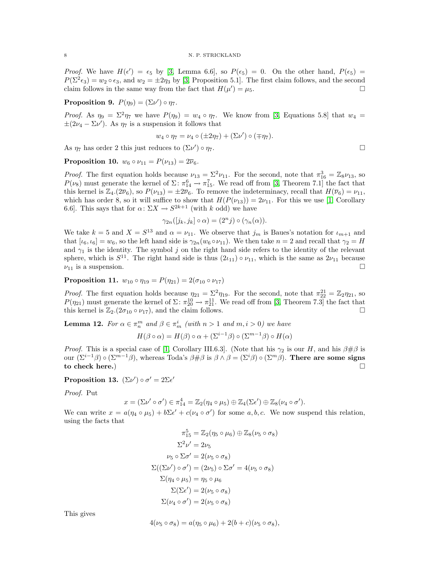*Proof.* We have  $H(\epsilon') = \epsilon_5$  by [\[3,](#page-12-3) Lemma 6.6], so  $P(\epsilon_5) = 0$ . On the other hand,  $P(\epsilon_5) =$  $P(\Sigma^2 \epsilon_3) = w_2 \circ \epsilon_3$ , and  $w_2 = \pm 2\eta_3$  by [\[3,](#page-12-3) Proposition 5.1]. The first claim follows, and the second claim follows in the same way from the fact that  $H(\mu') = \mu_5$ .

Proposition 9.  $P(\eta_9) = (\Sigma \nu') \circ \eta_7$ .

*Proof.* As  $\eta_9 = \Sigma^2 \eta_7$  we have  $P(\eta_9) = w_4 \circ \eta_7$ . We know from [\[3,](#page-12-3) Equations 5.8] that  $w_4 =$  $\pm(2\nu_4 - \Sigma\nu')$ . As  $\eta_7$  is a suspension it follows that

$$
w_4 \circ \eta_7 = \nu_4 \circ (\pm 2\eta_7) + (\Sigma \nu') \circ (\mp \eta_7).
$$

As  $\eta_7$  has order 2 this just reduces to  $(\Sigma \nu') \circ \eta_7$ .

**Proposition 10.**  $w_6 \circ \nu_{11} = P(\nu_{13}) = 2\overline{\nu}_6$ .

*Proof.* The first equation holds because  $\nu_{13} = \Sigma^2 \nu_{11}$ . For the second, note that  $\pi_{16}^3 = \mathbb{Z}_8 \nu_{13}$ , so  $P(\nu_8)$  must generate the kernel of  $\Sigma \colon \pi_{14}^6 \to \pi_{15}^7$ . We read off from [\[3,](#page-12-3) Theorem 7.1] the fact that this kernel is  $\mathbb{Z}_4$ .  $(2\overline{\nu}_6)$ , so  $P(\nu_{13}) = \pm 2\overline{\nu}_6$ . To remove the indeterminacy, recall that  $H(\overline{\nu}_6) = \nu_{11}$ , which has order 8, so it will suffice to show that  $H(P(\nu_{13})) = 2\nu_{11}$ . For this we use [\[1,](#page-12-2) Corollary 6.6. This says that for  $\alpha \colon \Sigma X \to S^{2k+1}$  (with k odd) we have

$$
\gamma_{2n}([j_k,j_k]\circ\alpha)=(2^nj)\circ(\gamma_n(\alpha)).
$$

We take  $k = 5$  and  $X = S^{13}$  and  $\alpha = \nu_{11}$ . We observe that  $j_m$  is Baues's notation for  $\iota_{m+1}$  and that  $[\iota_6, \iota_6] = w_6$ , so the left hand side is  $\gamma_{2n}(w_6 \circ \nu_{11})$ . We then take  $n = 2$  and recall that  $\gamma_2 = H$ and  $\gamma_1$  is the identity. The symbol j on the right hand side refers to the identity of the relevant sphere, which is  $S^{11}$ . The right hand side is thus  $(2i_{11}) \circ \nu_{11}$ , which is the same as  $2\nu_{11}$  because  $\nu_{11}$  is a suspension.

Proposition 11.  $w_{10} \circ \eta_{19} = P(\eta_{21}) = 2(\sigma_{10} \circ \nu_{17})$ 

*Proof.* The first equation holds because  $\eta_{21} = \Sigma^2 \eta_{19}$ . For the second, note that  $\pi_{22}^{21} = \mathbb{Z}_2 \eta_{21}$ , so  $P(\eta_{21})$  must generate the kernel of  $\Sigma \colon \pi_{20}^{10} \to \pi_{21}^{11}$ . We read off from [\[3,](#page-12-3) Theorem 7.3] the fact that this kernel is  $\mathbb{Z}_2$ .  $(2\sigma_{10} \circ \nu_{17})$ , and the claim follows.

**Lemma 12.** For  $\alpha \in \pi_n^m$  and  $\beta \in \pi_m^i$  (with  $n > 1$  and  $m, i > 0$ ) we have

$$
H(\beta \circ \alpha) = H(\beta) \circ \alpha + (\Sigma^{i-1} \beta) \circ (\Sigma^{m-1} \beta) \circ H(\alpha)
$$

*Proof.* This is a special case of [\[1,](#page-12-2) Corollary III.6.3]. (Note that his  $\gamma_2$  is our H, and his  $\beta \# \beta$  is our  $(\Sigma^{i-1}\beta) \circ (\Sigma^{m-1}\beta)$ , whereas Toda's  $\beta \# \beta$  is  $\beta \wedge \beta = (\Sigma^{i}\beta) \circ (\Sigma^{m}\beta)$ . There are some signs to check here.)

<span id="page-7-0"></span>Proposition 13.  $(\Sigma \nu') \circ \sigma' = 2\Sigma \epsilon'$ 

Proof. Put

$$
x = (\Sigma \nu' \circ \sigma') \in \pi_{14}^4 = \mathbb{Z}_2(\eta_4 \circ \mu_5) \oplus \mathbb{Z}_4(\Sigma \epsilon') \oplus \mathbb{Z}_8(\nu_4 \circ \sigma').
$$

We can write  $x = a(\eta_4 \circ \mu_5) + b\Sigma \epsilon' + c(\nu_4 \circ \sigma')$  for some  $a, b, c$ . We now suspend this relation, using the facts that

$$
\pi_{15}^5 = \mathbb{Z}_2(\eta_5 \circ \mu_6) \oplus \mathbb{Z}_8(\nu_5 \circ \sigma_8)
$$

$$
\Sigma^2 \nu' = 2\nu_5
$$

$$
\nu_5 \circ \Sigma \sigma' = 2(\nu_5 \circ \sigma_8)
$$

$$
\Sigma((\Sigma \nu') \circ \sigma') = (2\nu_5) \circ \Sigma \sigma' = 4(\nu_5 \circ \sigma_8)
$$

$$
\Sigma(\eta_4 \circ \mu_5) = \eta_5 \circ \mu_6
$$

$$
\Sigma(\Sigma \epsilon') = 2(\nu_5 \circ \sigma_8)
$$

$$
\Sigma(\nu_4 \circ \sigma') = 2(\nu_5 \circ \sigma_8)
$$

This gives

$$
4(\nu_5 \circ \sigma_8) = a(\eta_5 \circ \mu_6) + 2(b+c)(\nu_5 \circ \sigma_8),
$$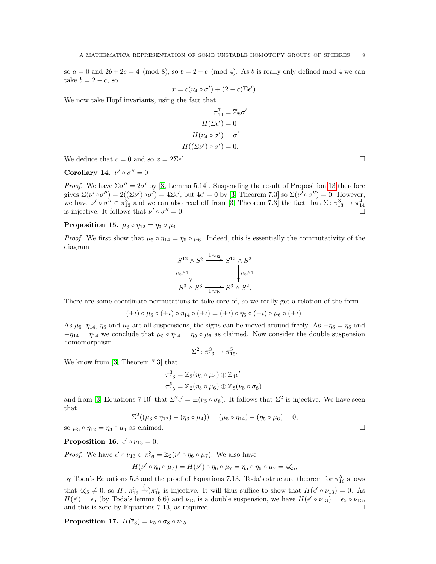so  $a = 0$  and  $2b + 2c = 4 \pmod{8}$ , so  $b = 2 - c \pmod{4}$ . As b is really only defined mod 4 we can take  $b = 2 - c$ , so

$$
x = c(\nu_4 \circ \sigma') + (2 - c)\Sigma \epsilon').
$$

We now take Hopf invariants, using the fact that

$$
\pi_{14}^7 = \mathbb{Z}_8 \sigma'
$$

$$
H(\Sigma \epsilon') = 0
$$

$$
H(\nu_4 \circ \sigma') = \sigma'
$$

$$
H((\Sigma \nu') \circ \sigma') = 0.
$$

We deduce that  $c = 0$  and so  $x = 2\Sigma \epsilon'$ 

## Corollary 14.  $\nu' \circ \sigma'' = 0$

Proof. We have  $\Sigma \sigma'' = 2\sigma'$  by [\[3,](#page-12-3) Lemma 5.14]. Suspending the result of Proposition [13](#page-7-0) therefore gives  $\Sigma(\nu' \circ \sigma'') = 2((\Sigma \nu') \circ \sigma') = 4\Sigma \epsilon'$ , but  $4\epsilon' = 0$  by [\[3,](#page-12-3) Theorem 7.3] so  $\Sigma(\nu' \circ \sigma'') = 0$ . However, we have  $\nu' \circ \sigma'' \in \pi_{13}^3$  and we can also read off from [\[3,](#page-12-3) Theorem 7.3] the fact that  $\Sigma \colon \pi_{13}^3 \to \pi_{14}^4$ is injective. It follows that  $\nu' \circ \sigma$  $\alpha'' = 0.$ 

Proposition 15.  $\mu_3 \circ \eta_{12} = \eta_3 \circ \mu_4$ 

*Proof.* We first show that  $\mu_5 \circ \eta_{14} = \eta_5 \circ \mu_6$ . Indeed, this is essentially the commutativity of the diagram

$$
S^{12} \wedge S^3 \xrightarrow{1 \wedge \eta_2} S^{12} \wedge S^2
$$
  
\n
$$
\mu_3 \wedge 1
$$
  
\n
$$
S^3 \wedge S^3 \xrightarrow[1 \wedge \eta_2]{} S^3 \wedge S^2.
$$

There are some coordinate permutations to take care of, so we really get a relation of the form

$$
(\pm \iota) \circ \mu_5 \circ (\pm \iota) \circ \eta_{14} \circ (\pm \iota) = (\pm \iota) \circ \eta_5 \circ (\pm \iota) \circ \mu_6 \circ (\pm \iota).
$$

As  $\mu_5$ ,  $\eta_{14}$ ,  $\eta_5$  and  $\mu_6$  are all suspensions, the signs can be moved around freely. As  $-\eta_5 = \eta_5$  and  $-\eta_{14} = \eta_{14}$  we conclude that  $\mu_5 \circ \eta_{14} = \eta_5 \circ \mu_6$  as claimed. Now consider the double suspension homomorphism

$$
\Sigma^2 \colon \pi_{13}^3 \to \pi_{15}^5.
$$

We know from [\[3,](#page-12-3) Theorem 7.3] that

$$
\pi_{13}^3 = \mathbb{Z}_2(\eta_3 \circ \mu_4) \oplus \mathbb{Z}_4 \epsilon'
$$
  

$$
\pi_{15}^5 = \mathbb{Z}_2(\eta_5 \circ \mu_6) \oplus \mathbb{Z}_8(\nu_5 \circ \sigma_8),
$$

and from [\[3,](#page-12-3) Equations 7.10] that  $\Sigma^2 \epsilon' = \pm (\nu_5 \circ \sigma_8)$ . It follows that  $\Sigma^2$  is injective. We have seen that

$$
\Sigma^2((\mu_3 \circ \eta_{12}) - (\eta_3 \circ \mu_4)) = (\mu_5 \circ \eta_{14}) - (\eta_5 \circ \mu_6) = 0,
$$

so  $\mu_3 \circ \eta_{12} = \eta_3 \circ \mu_4$  as claimed.

<span id="page-8-0"></span>**Proposition 16.** 
$$
\epsilon' \circ \nu_{13} = 0
$$
.

*Proof.* We have  $\epsilon' \circ \nu_{13} \in \pi_{16}^3 = \mathbb{Z}_2(\nu' \circ \eta_6 \circ \mu_7)$ . We also have

$$
H(\nu' \circ \eta_6 \circ \mu_7) = H(\nu') \circ \eta_6 \circ \mu_7 = \eta_5 \circ \eta_6 \circ \mu_7 = 4\zeta_5,
$$

by Toda's Equations 5.3 and the proof of Equations 7.13. Toda's structure theorem for  $\pi_{16}^5$  shows that  $4\zeta_5 \neq 0$ , so  $H: \pi_{16}^3$  $(\frac{\pi}{6})\pi_{16}^5$  is injective. It will thus suffice to show that  $H(\epsilon' \circ \nu_{13}) = 0$ . As  $H(\epsilon') = \epsilon_5$  (by Toda's lemma 6.6) and  $\nu_{13}$  is a double suspension, we have  $H(\epsilon' \circ \nu_{13}) = \epsilon_5 \circ \nu_{13}$ , and this is zero by Equations 7.13, as required.  $\square$ 

Proposition 17.  $H(\bar{\epsilon}_3) = \nu_5 \circ \sigma_8 \circ \nu_{15}$ .

. В последните поставите на селото на селото на селото на селото на селото на селото на селото на селото на се<br>Селото на селото на селото на селото на селото на селото на селото на селото на селото на селото на селото на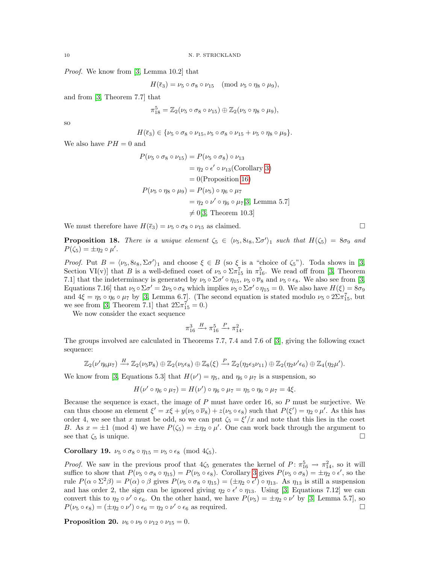Proof. We know from [\[3,](#page-12-3) Lemma 10.2] that

 $H(\bar{\epsilon}_3) = \nu_5 \circ \sigma_8 \circ \nu_{15} \pmod{\nu_5 \circ \eta_8 \circ \mu_9},$ 

and from [\[3,](#page-12-3) Theorem 7.7] that

$$
\pi_{18}^5 = \mathbb{Z}_2(\nu_5 \circ \sigma_8 \circ \nu_{15}) \oplus \mathbb{Z}_2(\nu_5 \circ \eta_8 \circ \mu_9),
$$

so

$$
H(\overline{\epsilon}_3) \in \{\nu_5 \circ \sigma_8 \circ \nu_{15}, \nu_5 \circ \sigma_8 \circ \nu_{15} + \nu_5 \circ \eta_8 \circ \mu_9\}.
$$

We also have  $PH = 0$  and

$$
P(\nu_5 \circ \sigma_8 \circ \nu_{15}) = P(\nu_5 \circ \sigma_8) \circ \nu_{13}
$$
  
=  $\eta_2 \circ \epsilon' \circ \nu_{13}$ (Corollary 3)  
= 0(Proposition 16)  

$$
P(\nu_5 \circ \eta_8 \circ \mu_9) = P(\nu_5) \circ \eta_6 \circ \mu_7
$$
  
=  $\eta_2 \circ \nu' \circ \eta_6 \circ \mu_7$ [3, Lemma 5.7]  
 $\neq$  0[3, Theorem 10.3]

We must therefore have  $H(\bar{\epsilon}_3) = \nu_5 \circ \sigma_8 \circ \nu_{15}$  as claimed.

**Proposition 18.** There is a unique element  $\zeta_5 \in \langle \nu_5, 8 \iota_8, \Sigma \sigma' \rangle_1$  such that  $H(\zeta_5) = 8\sigma_9$  and  $P(\zeta_5) = \pm \eta_2 \circ \mu'.$ 

Proof. Put  $B = \langle \nu_5, 8i_8, \Sigma \sigma' \rangle_1$  and choose  $\xi \in B$  (so  $\xi$  is a "choice of  $\zeta_5$ "). Toda shows in [\[3,](#page-12-3) Section VI(v)] that B is a well-defined coset of  $\nu_5 \circ \Sigma \pi_{15}^7$  in  $\pi_{16}^5$ . We read off from [\[3,](#page-12-3) Theorem 7.1] that the indeterminacy is generated by  $\nu_5 \circ \Sigma \sigma' \circ \eta_{15}$ ,  $\nu_5 \circ \overline{\nu}_8$  and  $\nu_5 \circ \epsilon_8$ . We also see from [\[3,](#page-12-3) Equations 7.16] that  $\nu_5 \circ \Sigma \sigma' = 2\nu_5 \circ \sigma_8$  which implies  $\nu_5 \circ \Sigma \sigma' \circ \eta_{15} = 0$ . We also have  $H(\xi) = 8\sigma_9$ and  $4\xi = \eta_5 \circ \eta_6 \circ \mu_7$  by [\[3,](#page-12-3) Lemma 6.7]. (The second equation is stated modulo  $\nu_5 \circ 2\Sigma \pi_{15}^7$ , but we see from [\[3,](#page-12-3) Theorem 7.1] that  $2\Sigma \pi_{15}^7 = 0.$ )

We now consider the exact sequence

$$
\pi^3_{16} \xrightarrow{H} \pi^5_{16} \xrightarrow{P} \pi^2_{14}.
$$

The groups involved are calculated in Theorems 7.7, 7.4 and 7.6 of [\[3\]](#page-12-3), giving the following exact sequence:

$$
\mathbb{Z}_2(\nu'\eta_6\mu_7)\stackrel{H}{\longrightarrow}\mathbb{Z}_2(\nu_5\overline{\nu}_8)\oplus\mathbb{Z}_2(\nu_5\epsilon_8)\oplus\mathbb{Z}_8(\xi)\stackrel{P}{\longrightarrow}\mathbb{Z}_2(\eta_2\epsilon_3\nu_{11})\oplus\mathbb{Z}_2(\eta_2\nu'\epsilon_6)\oplus\mathbb{Z}_4(\eta_2\mu').
$$

We know from [\[3,](#page-12-3) Equations 5.3] that  $H(\nu') = \eta_5$ , and  $\eta_6 \circ \mu_7$  is a suspension, so

$$
H(\nu' \circ \eta_6 \circ \mu_7) = H(\nu') \circ \eta_6 \circ \mu_7 = \eta_5 \circ \eta_6 \circ \mu_7 = 4\xi.
$$

Because the sequence is exact, the image of  $P$  must have order 16, so  $P$  must be surjective. We can thus choose an element  $\xi' = x\xi + y(\nu_5 \circ \overline{\nu}_8) + z(\nu_5 \circ \epsilon_8)$  such that  $P(\xi') = \eta_2 \circ \mu'$ . As this has order 4, we see that x must be odd, so we can put  $\zeta_5 = \xi'/x$  and note that this lies in the coset B. As  $x = \pm 1 \pmod{4}$  we have  $P(\zeta_5) = \pm \eta_2 \circ \mu'$ . One can work back through the argument to see that  $\zeta_5$  is unique.

Corollary 19.  $\nu_5 \circ \sigma_8 \circ \eta_{15} = \nu_5 \circ \epsilon_8 \pmod{4\zeta_5}$ .

*Proof.* We saw in the previous proof that  $4\zeta_5$  generates the kernel of  $P: \pi_{16}^5 \to \pi_{14}^2$ , so it will suffice to show that  $P(\nu_5 \circ \sigma_8 \circ \eta_{15}) = P(\nu_5 \circ \epsilon_8)$ . Corollary [3](#page-5-2) gives  $P(\nu_5 \circ \sigma_8) = \pm \eta_2 \circ \epsilon'$ , so the rule  $P(\alpha \circ \Sigma^2 \beta) = P(\alpha) \circ \beta$  gives  $P(\nu_5 \circ \sigma_8 \circ \eta_{15}) = (\pm \eta_2 \circ \epsilon') \circ \eta_{13}$ . As  $\eta_{13}$  is still a suspension and has order 2, the sign can be ignored giving  $\eta_2 \circ \epsilon' \circ \eta_{13}$ . Using [\[3,](#page-12-3) Equations 7.12] we can convert this to  $\eta_2 \circ \nu' \circ \epsilon_6$ . On the other hand, we have  $P(\nu_5) = \pm \eta_2 \circ \nu'$  by [\[3,](#page-12-3) Lemma 5.7], so  $P(\nu_5 \circ \epsilon_8) = (\pm \eta_2 \circ \nu') \circ \epsilon_6 = \eta_2 \circ \nu' \circ \epsilon_6$  as required.

**Proposition 20.**  $\nu_6 \circ \nu_9 \circ \nu_{12} \circ \nu_{15} = 0$ .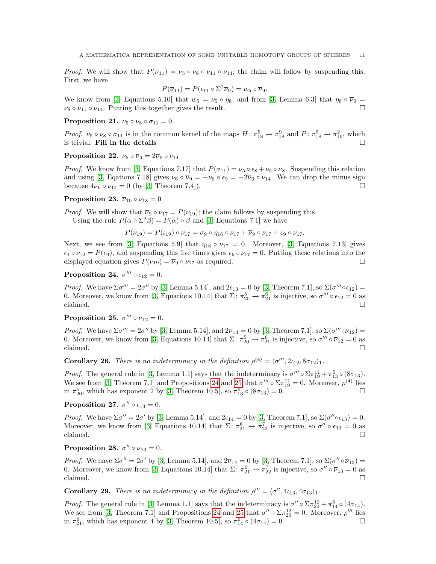*Proof.* We will show that  $P(\overline{\nu}_{11}) = \nu_5 \circ \nu_8 \circ \nu_{11} \circ \nu_{14}$ ; the claim will follow by suspending this. First, we have

$$
P(\overline{\nu}_{11}) = P(\iota_{11} \circ \Sigma^2 \overline{\nu}_9) = w_5 \circ \overline{\nu}_9.
$$

We know from [\[3,](#page-12-3) Equations 5.10] that  $w_5 = v_5 \circ \eta_8$ , and from [3, Lemma 6.3] that  $\eta_8 \circ \overline{\nu}_9 =$  $\nu_8 \circ \nu_{11} \circ \nu_{14}$ . Putting this together gives the result.

Proposition 21.  $\nu_5 \circ \nu_8 \circ \sigma_{11} = 0$ .

Proof.  $\nu_5 \circ \nu_8 \circ \sigma_{11}$  is in the common kernel of the maps  $H: \pi_{18}^5 \to \pi_{18}^9$  and  $P: \pi_{18}^5 \to \pi_{16}^2$ , which is trivial. Fill in the details

Proposition 22.  $\nu_6 \circ \overline{\nu}_9 = 2\overline{\nu}_6 \circ \nu_{14}$ 

*Proof.* We know from [\[3,](#page-12-3) Equations 7.17] that  $P(\sigma_{11}) = \nu_5 \circ \epsilon_8 + \nu_5 \circ \overline{\nu}_8$ . Suspending this relation and using [\[3,](#page-12-3) Eqations 7.18] gives  $\nu_6 \circ \overline{\nu}_9 = -\nu_6 \circ \overline{\nu}_9 = -2\overline{\nu}_6 \circ \nu_{14}$ . We can drop the minus sign because  $4\overline{\nu}_6 \circ \nu_{14} = 0$  (by [\[3,](#page-12-3) Theorem 7.4]).

## Proposition 23.  $\overline{\nu}_{10} \circ \nu_{18} = 0$

*Proof.* We will show that  $\overline{\nu}_9 \circ \nu_{17} = P(\nu_{19})$ ; the claim follows by suspending this. Using the rule  $P(\alpha \circ \Sigma^2 \beta) = P(\alpha) \circ \beta$  and [\[3,](#page-12-3) Equations 7.1] we have

$$
P(\nu_{19}) = P(\nu_{19}) \circ \nu_{17} = \sigma_9 \circ \eta_{16} \circ \nu_{17} + \overline{\nu}_9 \circ \nu_{17} + \epsilon_9 \circ \nu_{17}.
$$

Next, we see from [\[3,](#page-12-3) Equations 5.9] that  $\eta_{16} \circ \nu_{17} = 0$ . Moreover, [3, Equations 7.13] gives  $\epsilon_4 \circ \nu_{12} = P(\epsilon_9)$ , and suspending this five times gives  $\epsilon_9 \circ \nu_{17} = 0$ . Putting these relations into the displayed equation gives  $P(\nu_{19}) = \overline{\nu}_9 \circ \nu_{17}$  as required.

# <span id="page-10-1"></span>Proposition 24.  $\sigma''' \circ \epsilon_{12} = 0$ .

Proof. We have  $\Sigma \sigma''' = 2\sigma''$  by [\[3,](#page-12-3) Lemma 5.14], and  $2\epsilon_{13} = 0$  by [3, Theorem 7.1], so  $\Sigma(\sigma''' \circ \epsilon_{12}) =$ 0. Moreover, we know from [\[3,](#page-12-3) Equations 10.14] that  $\Sigma: \pi_{20}^5 \to \pi_{21}^6$  is injective, so  $\sigma''' \circ \epsilon_{12} = 0$  as claimed.  $\square$ 

<span id="page-10-2"></span>Proposition 25.  $\sigma''' \circ \overline{\nu}_{12} = 0$ .

Proof. We have  $\Sigma \sigma''' = 2\sigma''$  by [\[3,](#page-12-3) Lemma 5.14], and  $2\overline{\nu}_{13} = 0$  by [3, Theorem 7.1], so  $\Sigma(\sigma''' \circ \overline{\nu}_{12}) =$ 0. Moreover, we know from [\[3,](#page-12-3) Equations 10.14] that  $\Sigma: \pi_{20}^5 \to \pi_{21}^6$  is injective, so  $\sigma''' \circ \overline{\nu}_{12} = 0$  as claimed.  $\square$ 

**Corollary 26.** There is no indeterminacy in the definition  $\rho^{(4)} = \langle \sigma^{\prime\prime\prime}, 2\iota_{12}, 8\sigma_{12} \rangle_1$ .

*Proof.* The general rule in [\[3,](#page-12-3) Lemma 1.1] says that the indeterminacy is  $\sigma''' \circ \Sigma \pi_{19}^{11} + \pi_{13}^5 \circ (8\sigma_{13})$ . We see from [\[3,](#page-12-3) Theorem 7.1] and Propositions [24](#page-10-1) and [25](#page-10-2) that  $\sigma''' \circ \Sigma \pi_{19}^{11} = 0$ . Moreover,  $\rho^{(4)}$  lies in  $\pi_{20}^5$ , which has exponent 2 by [\[3,](#page-12-3) Theorem 10.5], so  $\pi_{13}^5 \circ (8\sigma_{13}) = 0$ .

Proposition 27.  $\sigma'' \circ \epsilon_{13} = 0$ .

Proof. We have  $\Sigma \sigma'' = 2\sigma'$  by [\[3,](#page-12-3) Lemma 5.14], and  $2\epsilon_{14} = 0$  by [3, Theorem 7.1], so  $\Sigma(\sigma'' \circ \epsilon_{13}) = 0$ . Moreover, we know from [\[3,](#page-12-3) Equations 10.14] that  $\Sigma: \pi_{21}^6 \to \pi_{22}^7$  is injective, so  $\sigma'' \circ \epsilon_{13} = 0$  as claimed.  $\square$ 

Proposition 28.  $\sigma'' \circ \overline{\nu}_{13} = 0$ .

Proof. We have  $\Sigma \sigma'' = 2\sigma'$  by [\[3,](#page-12-3) Lemma 5.14], and  $2\overline{\nu}_{14} = 0$  by [3, Theorem 7.1], so  $\Sigma (\sigma'' \circ \overline{\nu}_{13}) =$ 0. Moreover, we know from [\[3,](#page-12-3) Equations 10.14] that  $\Sigma \colon \pi_{21}^6 \to \pi_{22}^7$  is injective, so  $\sigma'' \circ \overline{\nu}_{13} = 0$  as claimed.  $\square$ 

**Corollary 29.** There is no indeterminacy in the definition  $\rho''' = \langle \sigma'', 4\iota_{13}, 4\sigma_{13} \rangle_1$ .

<span id="page-10-0"></span>*Proof.* The general rule in [\[3,](#page-12-3) Lemma 1.1] says that the indeterminacy is  $\sigma'' \circ \Sigma \pi_{20}^{12} + \pi_{14}^6 \circ (4\sigma_{14})$ . We see from [\[3,](#page-12-3) Theorem 7.1] and Propositions [24](#page-10-1) and [25](#page-10-2) that  $\sigma'' \circ \Sigma \pi_{20}^{12} = 0$ . Moreover,  $\rho'''$  lies in  $\pi_{21}^6$ , which has exponent 4 by [\[3,](#page-12-3) Theorem 10.5], so  $\pi_{14}^6 \circ (4\sigma_{14}) = 0$ .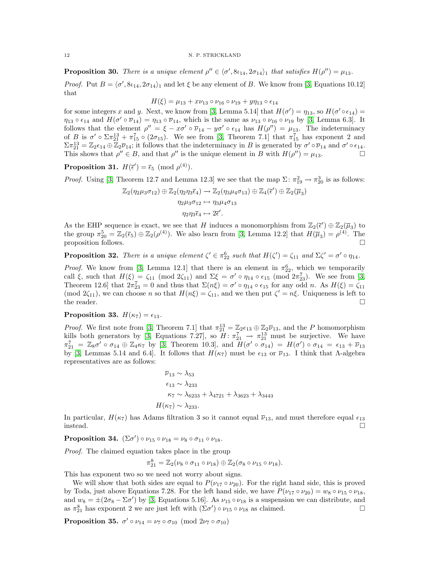**Proposition 30.** There is a unique element  $\rho'' \in \langle \sigma', 8i_{14}, 2\sigma_{14} \rangle_1$  that satisfies  $H(\rho'') = \mu_{13}$ . *Proof.* Put  $B = \langle \sigma', 8i_{14}, 2\sigma_{14} \rangle_1$  and let  $\xi$  be any element of B. We know from [\[3,](#page-12-3) Equations 10.12] that

$$
H(\xi) = \mu_{13} + x\nu_{13} \circ \nu_{16} \circ \nu_{19} + y\eta_{13} \circ \epsilon_{14}
$$

for some integers x and y. Next, we know from [\[3,](#page-12-3) Lemma 5.14] that  $H(\sigma') = \eta_{13}$ , so  $H(\sigma' \circ \epsilon_{14}) =$  $\eta_{13} \circ \epsilon_{14}$  and  $H(\sigma' \circ \overline{\nu}_{14}) = \eta_{13} \circ \overline{\nu}_{14}$ , which is the same as  $\nu_{13} \circ \nu_{16} \circ \nu_{19}$  by [\[3,](#page-12-3) Lemma 6.3]. It follows that the element  $\rho'' = \xi - x\sigma' \circ \overline{\nu}_{14} - y\sigma' \circ \epsilon_{14}$  has  $H(\rho'') = \mu_{13}$ . The indeterminacy of B is  $\sigma' \circ \Sigma \pi_{21}^{13} + \pi_{15}^7 \circ (2\sigma_{15})$ . We see from [\[3,](#page-12-3) Theorem 7.1] that  $\pi_{15}^7$  has exponent 2 and  $\Sigma \pi_{21}^{13} = \mathbb{Z}_2 \epsilon_{14} \oplus \mathbb{Z}_2 \overline{\nu}_{14}$ ; it follows that the indeterminacy in B is generated by  $\sigma' \circ \overline{\nu}_{14}$  and  $\sigma' \circ \epsilon_{14}$ . This shows that  $\rho'' \in B$ , and that  $\rho''$  is the unique element in B with  $H(\rho'') = \mu_{13}$ .

**Proposition 31.**  $H(\bar{\epsilon}') = \bar{\epsilon}_5 \pmod{p^{(4)}}$ .

*Proof.* Using [\[3,](#page-12-3) Theorem 12.7 and Lemma 12.3] we see that the map  $\Sigma \colon \pi_{19}^2 \to \pi_{20}^3$  is as follows:

$$
\mathbb{Z}_2(\eta_2\mu_3\sigma_{12}) \oplus \mathbb{Z}_2(\eta_2\eta_3\overline{\epsilon}_4) \to \mathbb{Z}_2(\eta_3\mu_4\sigma_{13}) \oplus \mathbb{Z}_4(\overline{\epsilon}') \oplus \mathbb{Z}_2(\overline{\mu}_3)
$$
  

$$
\eta_2\mu_3\sigma_{12} \mapsto \eta_3\mu_4\sigma_{13}
$$
  

$$
\eta_2\eta_3\overline{\epsilon}_4 \mapsto 2\overline{\epsilon}'.
$$

As the EHP sequence is exact, we see that H induces a monomorphism from  $\mathbb{Z}_2(\bar{\epsilon}') \oplus \mathbb{Z}_2(\bar{\mu}_3)$  to the group  $\pi_{20}^5 = \mathbb{Z}_2(\bar{\epsilon}_5) \oplus \mathbb{Z}_2(\rho^{(4)})$ . We also learn from [\[3,](#page-12-3) Lemma 12.2] that  $H(\bar{\mu}_3) = \rho^{(4)}$ . The proposition follows.

<span id="page-11-0"></span>**Proposition 32.** There is a unique element  $\zeta' \in \pi_{22}^6$  such that  $H(\zeta') = \zeta_{11}$  and  $\Sigma \zeta' = \sigma' \circ \eta_{14}$ .

*Proof.* We know from [\[3,](#page-12-3) Lemma 12.1] that there is an element in  $\pi_{22}^6$ , which we temporarily call  $\xi$ , such that  $H(\xi) = \zeta_{11} \pmod{2\zeta_{11}}$  and  $\Sigma \xi = \sigma' \circ \eta_{14} \circ \epsilon_{15} \pmod{2\pi_{23}^7}$ . We see from [\[3,](#page-12-3) Theorem 12.6] that  $2\pi_{23}^7 = 0$  and thus that  $\Sigma(n\xi) = \sigma' \circ \eta_{14} \circ \epsilon_{15}$  for any odd n. As  $H(\xi) = \zeta_{11}$ (mod 2 $\zeta_{11}$ ), we can choose *n* so that  $H(n\xi) = \zeta_{11}$ , and we then put  $\zeta' = n\xi$ . Uniqueness is left to the reader.  $\Box$ 

Proposition 33.  $H(\kappa_7) = \epsilon_{13}$ .

*Proof.* We first note from [\[3,](#page-12-3) Theorem 7.1] that  $\pi_{21}^{13} = \mathbb{Z}_2 \epsilon_{13} \oplus \mathbb{Z}_2 \overline{\nu}_{13}$ , and the P homomorphism kills both generators by [\[3,](#page-12-3) Equations 7.27], so  $H: \pi_{21}^7 \to \pi_{21}^{13}$  must be surjective. We have  $\pi_{21}^7 = \mathbb{Z}_8 \sigma' \circ \sigma_{14} \oplus \mathbb{Z}_4 \kappa_7$  by [\[3,](#page-12-3) Theorem 10.3], and  $H(\sigma' \circ \sigma_{14}) = H(\sigma') \circ \sigma_{14} = \epsilon_{13} + \overline{\nu}_{13}$ by [\[3,](#page-12-3) Lemmas 5.14 and 6.4]. It follows that  $H(\kappa_7)$  must be  $\epsilon_{13}$  or  $\overline{\nu}_{13}$ . I think that  $\Lambda$ -algebra representatives are as follows:

$$
\overline{\nu}_{13} \sim \lambda_{53}
$$
\n
$$
\epsilon_{13} \sim \lambda_{233}
$$
\n
$$
\kappa_7 \sim \lambda_{6233} + \lambda_{4721} + \lambda_{3623} + \lambda_{3443}
$$
\n
$$
H(\kappa_7) \sim \lambda_{233}.
$$

In particular,  $H(\kappa_7)$  has Adams filtration 3 so it cannot equal  $\bar{\nu}_{13}$ , and must therefore equal  $\epsilon_{13}$ instead.

Proposition 34.  $(\Sigma \sigma') \circ \nu_{15} \circ \nu_{18} = \nu_8 \circ \sigma_{11} \circ \nu_{18}$ .

Proof. The claimed equation takes place in the group

$$
\pi_{21}^8 = \mathbb{Z}_2(\nu_8 \circ \sigma_{11} \circ \nu_{18}) \oplus \mathbb{Z}_2(\sigma_8 \circ \nu_{15} \circ \nu_{18}).
$$

This has exponent two so we need not worry about signs.

We will show that both sides are equal to  $P(\nu_{17} \circ \nu_{20})$ . For the right hand side, this is proved by Toda, just above Equations 7.28. For the left hand side, we have  $P(\nu_{17} \circ \nu_{20}) = w_8 \circ \nu_{15} \circ \nu_{18}$ , and  $w_8 = \pm (2\sigma_8 - \Sigma \sigma')$  by [\[3,](#page-12-3) Equations 5.16]. As  $\nu_{15} \circ \nu_{18}$  is a suspension we can distribute, and as  $\pi_{21}^8$  has exponent 2 we are just left with  $(\Sigma \sigma') \circ \nu_{15} \circ \nu_{18}$  as claimed.

Proposition 35.  $\sigma' \circ \nu_{14} = \nu_7 \circ \sigma_{10} \pmod{2\nu_7 \circ \sigma_{10}}$